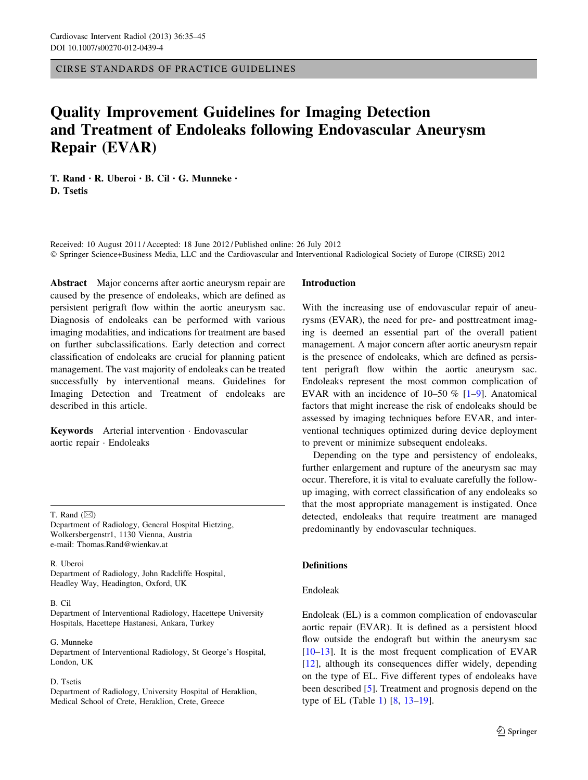CIRSE STANDARDS OF PRACTICE GUIDELINES

# Quality Improvement Guidelines for Imaging Detection and Treatment of Endoleaks following Endovascular Aneurysm Repair (EVAR)

T. Rand • R. Uberoi • B. Cil • G. Munneke • D. Tsetis

Received: 10 August 2011 / Accepted: 18 June 2012 / Published online: 26 July 2012 - Springer Science+Business Media, LLC and the Cardiovascular and Interventional Radiological Society of Europe (CIRSE) 2012

Abstract Major concerns after aortic aneurysm repair are caused by the presence of endoleaks, which are defined as persistent perigraft flow within the aortic aneurysm sac. Diagnosis of endoleaks can be performed with various imaging modalities, and indications for treatment are based on further subclassifications. Early detection and correct classification of endoleaks are crucial for planning patient management. The vast majority of endoleaks can be treated successfully by interventional means. Guidelines for Imaging Detection and Treatment of endoleaks are described in this article.

Keywords Arterial intervention - Endovascular aortic repair - Endoleaks

T. Rand  $(\boxtimes)$ 

Department of Radiology, General Hospital Hietzing, Wolkersbergenstr1, 1130 Vienna, Austria e-mail: Thomas.Rand@wienkav.at

R. Uberoi Department of Radiology, John Radcliffe Hospital, Headley Way, Headington, Oxford, UK

#### B. Cil

Department of Interventional Radiology, Hacettepe University Hospitals, Hacettepe Hastanesi, Ankara, Turkey

G. Munneke Department of Interventional Radiology, St George's Hospital, London, UK

#### D. Tsetis

Department of Radiology, University Hospital of Heraklion, Medical School of Crete, Heraklion, Crete, Greece

### Introduction

With the increasing use of endovascular repair of aneurysms (EVAR), the need for pre- and posttreatment imaging is deemed an essential part of the overall patient management. A major concern after aortic aneurysm repair is the presence of endoleaks, which are defined as persistent perigraft flow within the aortic aneurysm sac. Endoleaks represent the most common complication of EVAR with an incidence of  $10-50\%$  [\[1](#page-8-0)[–9](#page-9-0)]. Anatomical factors that might increase the risk of endoleaks should be assessed by imaging techniques before EVAR, and interventional techniques optimized during device deployment to prevent or minimize subsequent endoleaks.

Depending on the type and persistency of endoleaks, further enlargement and rupture of the aneurysm sac may occur. Therefore, it is vital to evaluate carefully the followup imaging, with correct classification of any endoleaks so that the most appropriate management is instigated. Once detected, endoleaks that require treatment are managed predominantly by endovascular techniques.

# **Definitions**

### Endoleak

Endoleak (EL) is a common complication of endovascular aortic repair (EVAR). It is defined as a persistent blood flow outside the endograft but within the aneurysm sac  $[10-13]$ . It is the most frequent complication of EVAR [\[12](#page-9-0)], although its consequences differ widely, depending on the type of EL. Five different types of endoleaks have been described [[5](#page-8-0)]. Treatment and prognosis depend on the type of EL (Table [1](#page-1-0)) [\[8](#page-9-0), [13–19](#page-9-0)].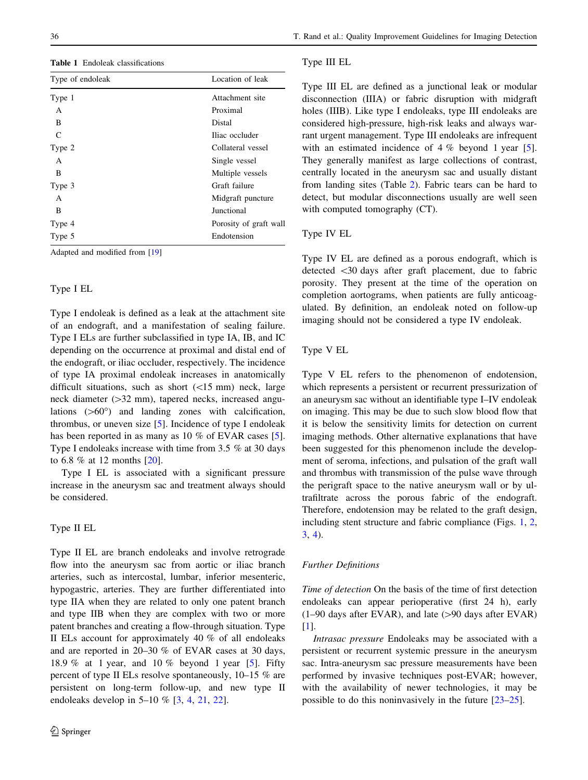<span id="page-1-0"></span>Table 1 Endoleak classifications

| Type of endoleak | Location of leak       |
|------------------|------------------------|
| Type 1           | Attachment site        |
| A                | Proximal               |
| B                | Distal                 |
| C                | Iliac occluder         |
| Type 2           | Collateral vessel      |
| A                | Single vessel          |
| B                | Multiple vessels       |
| Type 3           | Graft failure          |
| A                | Midgraft puncture      |
| B                | Junctional             |
| Type 4           | Porosity of graft wall |
| Type 5           | Endotension            |

Adapted and modified from [[19](#page-9-0)]

# Type I EL

Type I endoleak is defined as a leak at the attachment site of an endograft, and a manifestation of sealing failure. Type I ELs are further subclassified in type IA, IB, and IC depending on the occurrence at proximal and distal end of the endograft, or iliac occluder, respectively. The incidence of type IA proximal endoleak increases in anatomically difficult situations, such as short  $(\langle 15 \text{ mm})$  neck, large neck diameter  $(>=32$  mm), tapered necks, increased angulations  $(>60^{\circ})$  and landing zones with calcification, thrombus, or uneven size  $[5]$  $[5]$ . Incidence of type I endoleak has been reported in as many as 10 % of EVAR cases [\[5](#page-8-0)]. Type I endoleaks increase with time from 3.5 % at 30 days to 6.8 % at 12 months [\[20](#page-9-0)].

Type I EL is associated with a significant pressure increase in the aneurysm sac and treatment always should be considered.

# Type II EL

Type II EL are branch endoleaks and involve retrograde flow into the aneurysm sac from aortic or iliac branch arteries, such as intercostal, lumbar, inferior mesenteric, hypogastric, arteries. They are further differentiated into type IIA when they are related to only one patent branch and type IIB when they are complex with two or more patent branches and creating a flow-through situation. Type II ELs account for approximately 40 % of all endoleaks and are reported in 20–30 % of EVAR cases at 30 days, 18.9 % at 1 year, and 10 % beyond 1 year [[5\]](#page-8-0). Fifty percent of type II ELs resolve spontaneously, 10–15 % are persistent on long-term follow-up, and new type II endoleaks develop in 5–10 % [[3,](#page-8-0) [4,](#page-8-0) [21](#page-9-0), [22](#page-9-0)].

#### Type III EL

Type III EL are defined as a junctional leak or modular disconnection (IIIA) or fabric disruption with midgraft holes (IIIB). Like type I endoleaks, type III endoleaks are considered high-pressure, high-risk leaks and always warrant urgent management. Type III endoleaks are infrequent with an estimated incidence of 4 % beyond 1 year [\[5](#page-8-0)]. They generally manifest as large collections of contrast, centrally located in the aneurysm sac and usually distant from landing sites (Table [2](#page-2-0)). Fabric tears can be hard to detect, but modular disconnections usually are well seen with computed tomography (CT).

### Type IV EL

Type IV EL are defined as a porous endograft, which is detected \30 days after graft placement, due to fabric porosity. They present at the time of the operation on completion aortograms, when patients are fully anticoagulated. By definition, an endoleak noted on follow-up imaging should not be considered a type IV endoleak.

# Type V EL

Type V EL refers to the phenomenon of endotension, which represents a persistent or recurrent pressurization of an aneurysm sac without an identifiable type I–IV endoleak on imaging. This may be due to such slow blood flow that it is below the sensitivity limits for detection on current imaging methods. Other alternative explanations that have been suggested for this phenomenon include the development of seroma, infections, and pulsation of the graft wall and thrombus with transmission of the pulse wave through the perigraft space to the native aneurysm wall or by ultrafiltrate across the porous fabric of the endograft. Therefore, endotension may be related to the graft design, including stent structure and fabric compliance (Figs. [1](#page-3-0), [2,](#page-4-0) [3](#page-4-0), [4\)](#page-5-0).

#### Further Definitions

Time of detection On the basis of the time of first detection endoleaks can appear perioperative (first 24 h), early  $(1–90$  days after EVAR), and late  $(>90$  days after EVAR) [\[1](#page-8-0)].

Intrasac pressure Endoleaks may be associated with a persistent or recurrent systemic pressure in the aneurysm sac. Intra-aneurysm sac pressure measurements have been performed by invasive techniques post-EVAR; however, with the availability of newer technologies, it may be possible to do this noninvasively in the future [\[23–25](#page-9-0)].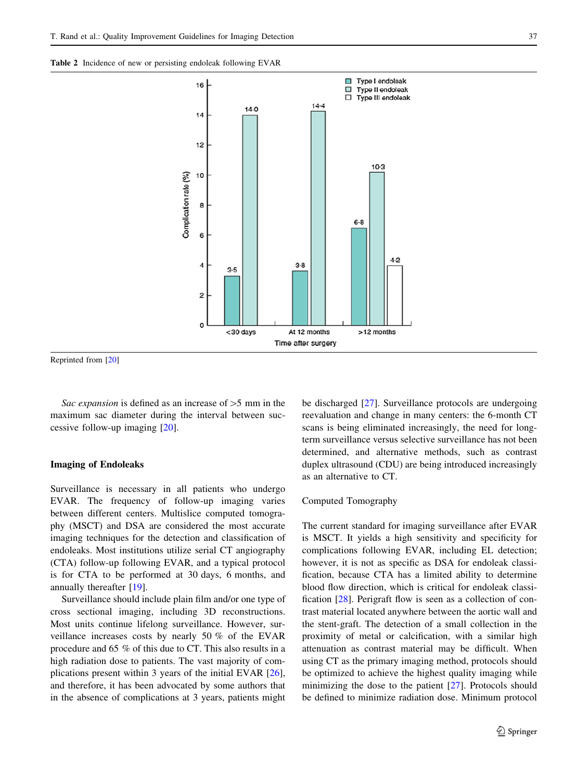<span id="page-2-0"></span>

Reprinted from [[20\]](#page-9-0)

Sac expansion is defined as an increase of  $>5$  mm in the maximum sac diameter during the interval between successive follow-up imaging [\[20](#page-9-0)].

#### Imaging of Endoleaks

Surveillance is necessary in all patients who undergo EVAR. The frequency of follow-up imaging varies between different centers. Multislice computed tomography (MSCT) and DSA are considered the most accurate imaging techniques for the detection and classification of endoleaks. Most institutions utilize serial CT angiography (CTA) follow-up following EVAR, and a typical protocol is for CTA to be performed at 30 days, 6 months, and annually thereafter [[19\]](#page-9-0).

Surveillance should include plain film and/or one type of cross sectional imaging, including 3D reconstructions. Most units continue lifelong surveillance. However, surveillance increases costs by nearly 50 % of the EVAR procedure and 65 % of this due to CT. This also results in a high radiation dose to patients. The vast majority of complications present within 3 years of the initial EVAR [\[26](#page-9-0)], and therefore, it has been advocated by some authors that in the absence of complications at 3 years, patients might be discharged [\[27](#page-9-0)]. Surveillance protocols are undergoing reevaluation and change in many centers: the 6-month CT scans is being eliminated increasingly, the need for longterm surveillance versus selective surveillance has not been determined, and alternative methods, such as contrast duplex ultrasound (CDU) are being introduced increasingly as an alternative to CT.

#### Computed Tomography

The current standard for imaging surveillance after EVAR is MSCT. It yields a high sensitivity and specificity for complications following EVAR, including EL detection; however, it is not as specific as DSA for endoleak classification, because CTA has a limited ability to determine blood flow direction, which is critical for endoleak classification [[28\]](#page-9-0). Perigraft flow is seen as a collection of contrast material located anywhere between the aortic wall and the stent-graft. The detection of a small collection in the proximity of metal or calcification, with a similar high attenuation as contrast material may be difficult. When using CT as the primary imaging method, protocols should be optimized to achieve the highest quality imaging while minimizing the dose to the patient [\[27](#page-9-0)]. Protocols should be defined to minimize radiation dose. Minimum protocol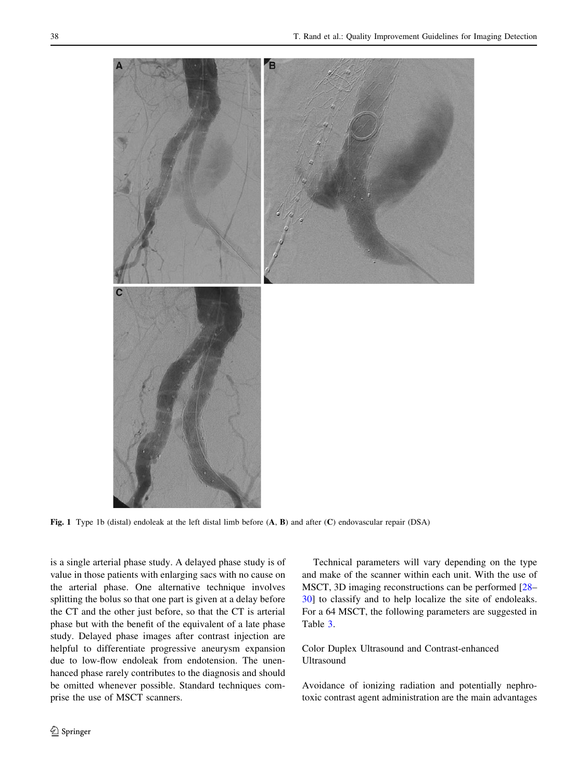<span id="page-3-0"></span>

Fig. 1 Type 1b (distal) endoleak at the left distal limb before  $(A, B)$  and after  $(C)$  endovascular repair (DSA)

is a single arterial phase study. A delayed phase study is of value in those patients with enlarging sacs with no cause on the arterial phase. One alternative technique involves splitting the bolus so that one part is given at a delay before the CT and the other just before, so that the CT is arterial phase but with the benefit of the equivalent of a late phase study. Delayed phase images after contrast injection are helpful to differentiate progressive aneurysm expansion due to low-flow endoleak from endotension. The unenhanced phase rarely contributes to the diagnosis and should be omitted whenever possible. Standard techniques comprise the use of MSCT scanners.

Technical parameters will vary depending on the type and make of the scanner within each unit. With the use of MSCT, 3D imaging reconstructions can be performed [\[28](#page-9-0)– [30](#page-9-0)] to classify and to help localize the site of endoleaks. For a 64 MSCT, the following parameters are suggested in Table [3](#page-5-0).

# Color Duplex Ultrasound and Contrast-enhanced Ultrasound

Avoidance of ionizing radiation and potentially nephrotoxic contrast agent administration are the main advantages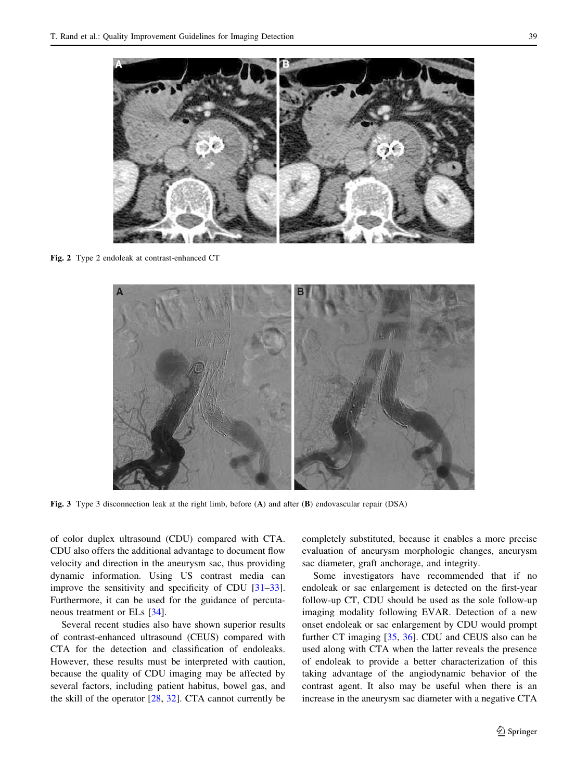<span id="page-4-0"></span>

Fig. 2 Type 2 endoleak at contrast-enhanced CT



Fig. 3 Type 3 disconnection leak at the right limb, before (A) and after (B) endovascular repair (DSA)

of color duplex ultrasound (CDU) compared with CTA. CDU also offers the additional advantage to document flow velocity and direction in the aneurysm sac, thus providing dynamic information. Using US contrast media can improve the sensitivity and specificity of CDU [\[31–33](#page-9-0)]. Furthermore, it can be used for the guidance of percutaneous treatment or ELs [\[34](#page-9-0)].

Several recent studies also have shown superior results of contrast-enhanced ultrasound (CEUS) compared with CTA for the detection and classification of endoleaks. However, these results must be interpreted with caution, because the quality of CDU imaging may be affected by several factors, including patient habitus, bowel gas, and the skill of the operator [\[28](#page-9-0), [32\]](#page-9-0). CTA cannot currently be completely substituted, because it enables a more precise evaluation of aneurysm morphologic changes, aneurysm sac diameter, graft anchorage, and integrity.

Some investigators have recommended that if no endoleak or sac enlargement is detected on the first-year follow-up CT, CDU should be used as the sole follow-up imaging modality following EVAR. Detection of a new onset endoleak or sac enlargement by CDU would prompt further CT imaging [\[35](#page-9-0), [36](#page-9-0)]. CDU and CEUS also can be used along with CTA when the latter reveals the presence of endoleak to provide a better characterization of this taking advantage of the angiodynamic behavior of the contrast agent. It also may be useful when there is an increase in the aneurysm sac diameter with a negative CTA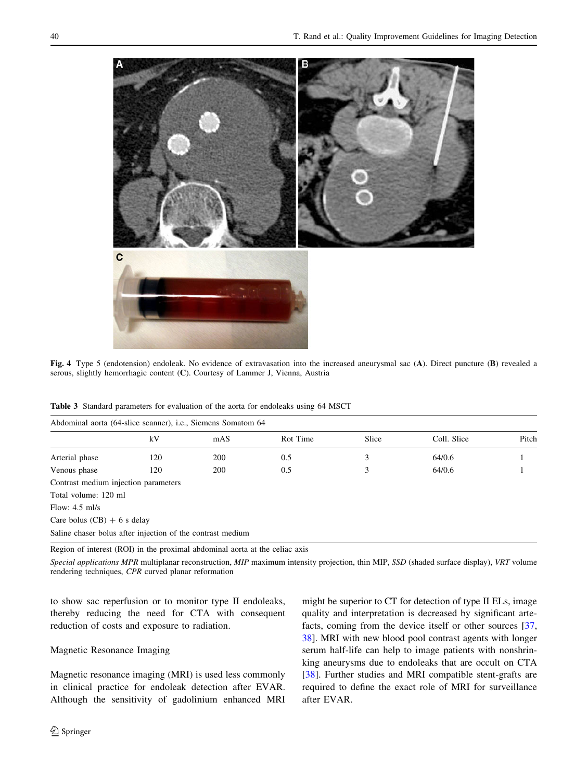<span id="page-5-0"></span>

Fig. 4 Type 5 (endotension) endoleak. No evidence of extravasation into the increased aneurysmal sac (A). Direct puncture (B) revealed a serous, slightly hemorrhagic content (C). Courtesy of Lammer J, Vienna, Austria

|  |  |  |  |  | Table 3 Standard parameters for evaluation of the aorta for endoleaks using 64 MSCT |  |
|--|--|--|--|--|-------------------------------------------------------------------------------------|--|
|--|--|--|--|--|-------------------------------------------------------------------------------------|--|

| Abdominal aorta (64-slice scanner), i.e., Siemens Somatom 64 |     |     |          |       |             |       |
|--------------------------------------------------------------|-----|-----|----------|-------|-------------|-------|
|                                                              | kV  | mAS | Rot Time | Slice | Coll. Slice | Pitch |
| Arterial phase                                               | 120 | 200 | 0.5      | 3     | 64/0.6      |       |
| Venous phase                                                 | 120 | 200 | 0.5      | 3     | 64/0.6      |       |
| Contrast medium injection parameters                         |     |     |          |       |             |       |
| Total volume: 120 ml                                         |     |     |          |       |             |       |
| Flow: $4.5$ ml/s                                             |     |     |          |       |             |       |
| Care bolus $(CB) + 6$ s delay                                |     |     |          |       |             |       |
| Saline chaser bolus after injection of the contrast medium   |     |     |          |       |             |       |

Region of interest (ROI) in the proximal abdominal aorta at the celiac axis

Special applications MPR multiplanar reconstruction, MIP maximum intensity projection, thin MIP, SSD (shaded surface display), VRT volume rendering techniques, CPR curved planar reformation

to show sac reperfusion or to monitor type II endoleaks, thereby reducing the need for CTA with consequent reduction of costs and exposure to radiation.

# Magnetic Resonance Imaging

Magnetic resonance imaging (MRI) is used less commonly in clinical practice for endoleak detection after EVAR. Although the sensitivity of gadolinium enhanced MRI might be superior to CT for detection of type II ELs, image quality and interpretation is decreased by significant artefacts, coming from the device itself or other sources [[37,](#page-9-0) [38](#page-9-0)]. MRI with new blood pool contrast agents with longer serum half-life can help to image patients with nonshrinking aneurysms due to endoleaks that are occult on CTA [\[38](#page-9-0)]. Further studies and MRI compatible stent-grafts are required to define the exact role of MRI for surveillance after EVAR.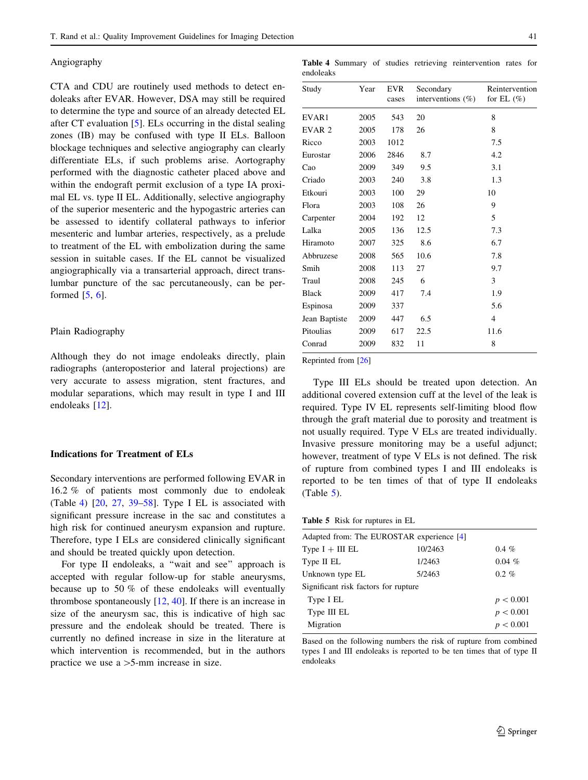### Angiography

CTA and CDU are routinely used methods to detect endoleaks after EVAR. However, DSA may still be required to determine the type and source of an already detected EL after CT evaluation [\[5](#page-8-0)]. ELs occurring in the distal sealing zones (IB) may be confused with type II ELs. Balloon blockage techniques and selective angiography can clearly differentiate ELs, if such problems arise. Aortography performed with the diagnostic catheter placed above and within the endograft permit exclusion of a type IA proximal EL vs. type II EL. Additionally, selective angiography of the superior mesenteric and the hypogastric arteries can be assessed to identify collateral pathways to inferior mesenteric and lumbar arteries, respectively, as a prelude to treatment of the EL with embolization during the same session in suitable cases. If the EL cannot be visualized angiographically via a transarterial approach, direct translumbar puncture of the sac percutaneously, can be performed  $[5, 6]$  $[5, 6]$  $[5, 6]$  $[5, 6]$  $[5, 6]$ .

#### Plain Radiography

Although they do not image endoleaks directly, plain radiographs (anteroposterior and lateral projections) are very accurate to assess migration, stent fractures, and modular separations, which may result in type I and III endoleaks [[12\]](#page-9-0).

# Indications for Treatment of ELs

Secondary interventions are performed following EVAR in 16.2 % of patients most commonly due to endoleak (Table 4)  $[20, 27, 39-58]$  $[20, 27, 39-58]$  $[20, 27, 39-58]$  $[20, 27, 39-58]$  $[20, 27, 39-58]$  $[20, 27, 39-58]$  $[20, 27, 39-58]$ . Type I EL is associated with significant pressure increase in the sac and constitutes a high risk for continued aneurysm expansion and rupture. Therefore, type I ELs are considered clinically significant and should be treated quickly upon detection.

For type II endoleaks, a "wait and see" approach is accepted with regular follow-up for stable aneurysms, because up to 50 % of these endoleaks will eventually thrombose spontaneously  $[12, 40]$  $[12, 40]$  $[12, 40]$  $[12, 40]$  $[12, 40]$ . If there is an increase in size of the aneurysm sac, this is indicative of high sac pressure and the endoleak should be treated. There is currently no defined increase in size in the literature at which intervention is recommended, but in the authors practice we use  $a > 5$ -mm increase in size.

Table 4 Summary of studies retrieving reintervention rates for endoleaks

| Study             | Year | <b>EVR</b><br>cases | Secondary<br>interventions $(\%)$ | Reintervention<br>for EL $(\%)$ |
|-------------------|------|---------------------|-----------------------------------|---------------------------------|
| EVAR1             | 2005 | 543                 | 20                                | 8                               |
| EVAR <sub>2</sub> | 2005 | 178                 | 26                                | 8                               |
| Ricco             | 2003 | 1012                |                                   | 7.5                             |
| Eurostar          | 2006 | 2846                | 8.7                               | 4.2                             |
| Cao               | 2009 | 349                 | 9.5                               | 3.1                             |
| Criado            | 2003 | 240                 | 3.8                               | 1.3                             |
| Etkouri           | 2003 | 100                 | 29                                | 10                              |
| Flora             | 2003 | 108                 | 26                                | 9                               |
| Carpenter         | 2004 | 192                 | 12                                | 5                               |
| Lalka             | 2005 | 136                 | 12.5                              | 7.3                             |
| Hiramoto          | 2007 | 325                 | 8.6                               | 6.7                             |
| Abbruzese         | 2008 | 565                 | 10.6                              | 7.8                             |
| Smih              | 2008 | 113                 | 27                                | 9.7                             |
| Traul             | 2008 | 245                 | 6                                 | 3                               |
| <b>Black</b>      | 2009 | 417                 | 7.4                               | 1.9                             |
| Espinosa          | 2009 | 337                 |                                   | 5.6                             |
| Jean Baptiste     | 2009 | 447                 | 6.5                               | $\overline{4}$                  |
| Pitoulias         | 2009 | 617                 | 22.5                              | 11.6                            |
| Conrad            | 2009 | 832                 | 11                                | 8                               |

Reprinted from [[26](#page-9-0)]

Type III ELs should be treated upon detection. An additional covered extension cuff at the level of the leak is required. Type IV EL represents self-limiting blood flow through the graft material due to porosity and treatment is not usually required. Type V ELs are treated individually. Invasive pressure monitoring may be a useful adjunct; however, treatment of type V ELs is not defined. The risk of rupture from combined types I and III endoleaks is reported to be ten times of that of type II endoleaks (Table 5).

Table 5 Risk for ruptures in EL

| $0.4\%$<br>$0.04\%$ |
|---------------------|
|                     |
|                     |
|                     |
| $0.2 \%$            |
|                     |
| p < 0.001           |
| p < 0.001           |
| p < 0.001           |
|                     |

Based on the following numbers the risk of rupture from combined types I and III endoleaks is reported to be ten times that of type II endoleaks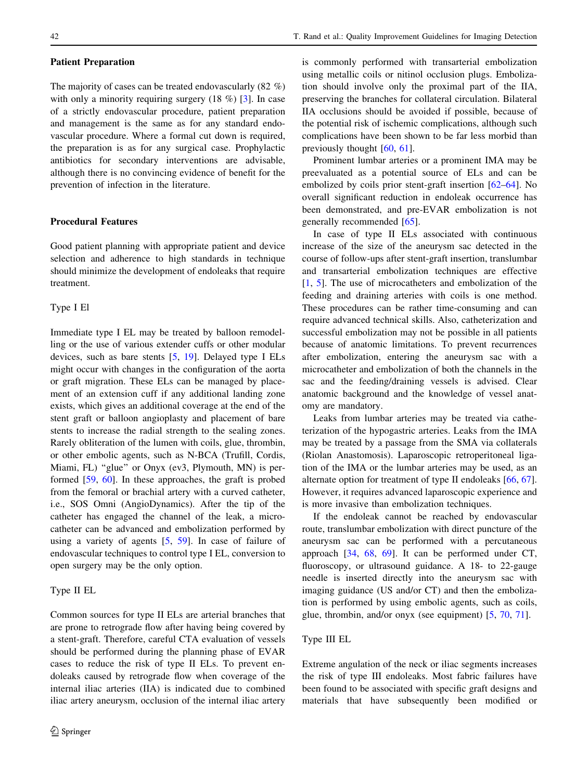#### Patient Preparation

The majority of cases can be treated endovascularly (82 %) with only a minority requiring surgery  $(18 \%)$  [\[3](#page-8-0)]. In case of a strictly endovascular procedure, patient preparation and management is the same as for any standard endovascular procedure. Where a formal cut down is required, the preparation is as for any surgical case. Prophylactic antibiotics for secondary interventions are advisable, although there is no convincing evidence of benefit for the prevention of infection in the literature.

# Procedural Features

Good patient planning with appropriate patient and device selection and adherence to high standards in technique should minimize the development of endoleaks that require treatment.

# Type I El

Immediate type I EL may be treated by balloon remodelling or the use of various extender cuffs or other modular devices, such as bare stents [[5,](#page-8-0) [19](#page-9-0)]. Delayed type I ELs might occur with changes in the configuration of the aorta or graft migration. These ELs can be managed by placement of an extension cuff if any additional landing zone exists, which gives an additional coverage at the end of the stent graft or balloon angioplasty and placement of bare stents to increase the radial strength to the sealing zones. Rarely obliteration of the lumen with coils, glue, thrombin, or other embolic agents, such as N-BCA (Trufill, Cordis, Miami, FL) "glue" or Onyx (ev3, Plymouth, MN) is performed [\[59](#page-10-0), [60\]](#page-10-0). In these approaches, the graft is probed from the femoral or brachial artery with a curved catheter, i.e., SOS Omni (AngioDynamics). After the tip of the catheter has engaged the channel of the leak, a microcatheter can be advanced and embolization performed by using a variety of agents [\[5](#page-8-0), [59\]](#page-10-0). In case of failure of endovascular techniques to control type I EL, conversion to open surgery may be the only option.

# Type II EL

Common sources for type II ELs are arterial branches that are prone to retrograde flow after having being covered by a stent-graft. Therefore, careful CTA evaluation of vessels should be performed during the planning phase of EVAR cases to reduce the risk of type II ELs. To prevent endoleaks caused by retrograde flow when coverage of the internal iliac arteries (IIA) is indicated due to combined iliac artery aneurysm, occlusion of the internal iliac artery is commonly performed with transarterial embolization using metallic coils or nitinol occlusion plugs. Embolization should involve only the proximal part of the IIA, preserving the branches for collateral circulation. Bilateral IIA occlusions should be avoided if possible, because of the potential risk of ischemic complications, although such complications have been shown to be far less morbid than previously thought [[60,](#page-10-0) [61\]](#page-10-0).

Prominent lumbar arteries or a prominent IMA may be preevaluated as a potential source of ELs and can be embolized by coils prior stent-graft insertion [[62–64\]](#page-10-0). No overall significant reduction in endoleak occurrence has been demonstrated, and pre-EVAR embolization is not generally recommended [\[65](#page-10-0)].

In case of type II ELs associated with continuous increase of the size of the aneurysm sac detected in the course of follow-ups after stent-graft insertion, translumbar and transarterial embolization techniques are effective [\[1](#page-8-0), [5\]](#page-8-0). The use of microcatheters and embolization of the feeding and draining arteries with coils is one method. These procedures can be rather time-consuming and can require advanced technical skills. Also, catheterization and successful embolization may not be possible in all patients because of anatomic limitations. To prevent recurrences after embolization, entering the aneurysm sac with a microcatheter and embolization of both the channels in the sac and the feeding/draining vessels is advised. Clear anatomic background and the knowledge of vessel anatomy are mandatory.

Leaks from lumbar arteries may be treated via catheterization of the hypogastric arteries. Leaks from the IMA may be treated by a passage from the SMA via collaterals (Riolan Anastomosis). Laparoscopic retroperitoneal ligation of the IMA or the lumbar arteries may be used, as an alternate option for treatment of type II endoleaks [\[66](#page-10-0), [67](#page-10-0)]. However, it requires advanced laparoscopic experience and is more invasive than embolization techniques.

If the endoleak cannot be reached by endovascular route, translumbar embolization with direct puncture of the aneurysm sac can be performed with a percutaneous approach [\[34](#page-9-0), [68](#page-10-0), [69](#page-10-0)]. It can be performed under CT, fluoroscopy, or ultrasound guidance. A 18- to 22-gauge needle is inserted directly into the aneurysm sac with imaging guidance (US and/or CT) and then the embolization is performed by using embolic agents, such as coils, glue, thrombin, and/or onyx (see equipment) [[5,](#page-8-0) [70](#page-10-0), [71](#page-10-0)].

# Type III EL

Extreme angulation of the neck or iliac segments increases the risk of type III endoleaks. Most fabric failures have been found to be associated with specific graft designs and materials that have subsequently been modified or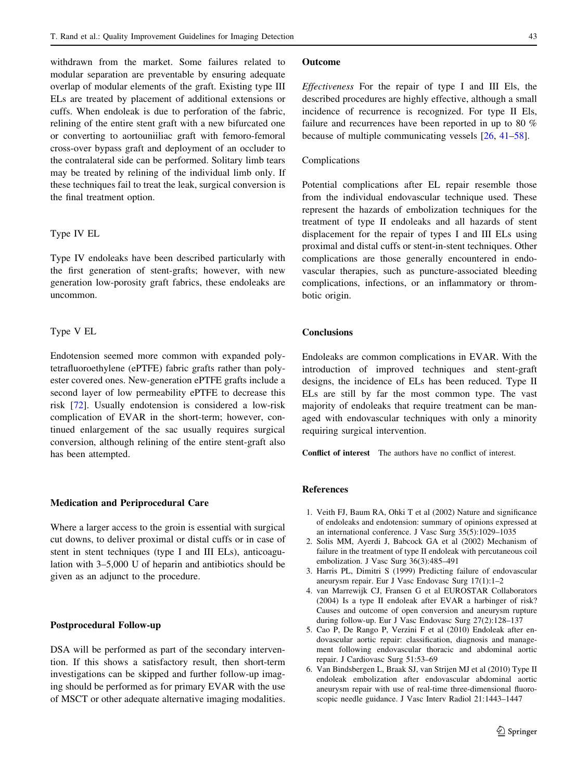<span id="page-8-0"></span>withdrawn from the market. Some failures related to modular separation are preventable by ensuring adequate overlap of modular elements of the graft. Existing type III ELs are treated by placement of additional extensions or cuffs. When endoleak is due to perforation of the fabric, relining of the entire stent graft with a new bifurcated one or converting to aortouniiliac graft with femoro-femoral cross-over bypass graft and deployment of an occluder to the contralateral side can be performed. Solitary limb tears may be treated by relining of the individual limb only. If these techniques fail to treat the leak, surgical conversion is the final treatment option.

### Type IV EL

Type IV endoleaks have been described particularly with the first generation of stent-grafts; however, with new generation low-porosity graft fabrics, these endoleaks are uncommon.

# Type V EL

Endotension seemed more common with expanded polytetrafluoroethylene (ePTFE) fabric grafts rather than polyester covered ones. New-generation ePTFE grafts include a second layer of low permeability ePTFE to decrease this risk [[72\]](#page-10-0). Usually endotension is considered a low-risk complication of EVAR in the short-term; however, continued enlargement of the sac usually requires surgical conversion, although relining of the entire stent-graft also has been attempted.

#### Medication and Periprocedural Care

Where a larger access to the groin is essential with surgical cut downs, to deliver proximal or distal cuffs or in case of stent in stent techniques (type I and III ELs), anticoagulation with 3–5,000 U of heparin and antibiotics should be given as an adjunct to the procedure.

# Postprocedural Follow-up

DSA will be performed as part of the secondary intervention. If this shows a satisfactory result, then short-term investigations can be skipped and further follow-up imaging should be performed as for primary EVAR with the use of MSCT or other adequate alternative imaging modalities.

### Outcome

Effectiveness For the repair of type I and III Els, the described procedures are highly effective, although a small incidence of recurrence is recognized. For type II Els, failure and recurrences have been reported in up to 80 % because of multiple communicating vessels [\[26](#page-9-0), [41](#page-9-0)–[58\]](#page-10-0).

# Complications

Potential complications after EL repair resemble those from the individual endovascular technique used. These represent the hazards of embolization techniques for the treatment of type II endoleaks and all hazards of stent displacement for the repair of types I and III ELs using proximal and distal cuffs or stent-in-stent techniques. Other complications are those generally encountered in endovascular therapies, such as puncture-associated bleeding complications, infections, or an inflammatory or thrombotic origin.

# **Conclusions**

Endoleaks are common complications in EVAR. With the introduction of improved techniques and stent-graft designs, the incidence of ELs has been reduced. Type II ELs are still by far the most common type. The vast majority of endoleaks that require treatment can be managed with endovascular techniques with only a minority requiring surgical intervention.

Conflict of interest The authors have no conflict of interest.

# References

- 1. Veith FJ, Baum RA, Ohki T et al (2002) Nature and significance of endoleaks and endotension: summary of opinions expressed at an international conference. J Vasc Surg 35(5):1029–1035
- 2. Solis MM, Ayerdi J, Babcock GA et al (2002) Mechanism of failure in the treatment of type II endoleak with percutaneous coil embolization. J Vasc Surg 36(3):485–491
- 3. Harris PL, Dimitri S (1999) Predicting failure of endovascular aneurysm repair. Eur J Vasc Endovasc Surg 17(1):1–2
- 4. van Marrewijk CJ, Fransen G et al EUROSTAR Collaborators (2004) Is a type II endoleak after EVAR a harbinger of risk? Causes and outcome of open conversion and aneurysm rupture during follow-up. Eur J Vasc Endovasc Surg 27(2):128–137
- 5. Cao P, De Rango P, Verzini F et al (2010) Endoleak after endovascular aortic repair: classification, diagnosis and management following endovascular thoracic and abdominal aortic repair. J Cardiovasc Surg 51:53–69
- 6. Van Bindsbergen L, Braak SJ, van Strijen MJ et al (2010) Type II endoleak embolization after endovascular abdominal aortic aneurysm repair with use of real-time three-dimensional fluoroscopic needle guidance. J Vasc Interv Radiol 21:1443–1447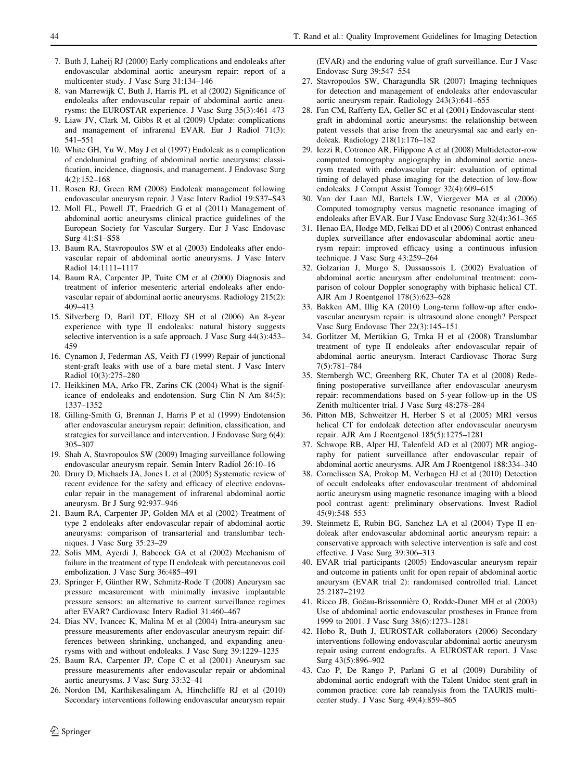- <span id="page-9-0"></span>7. Buth J, Laheij RJ (2000) Early complications and endoleaks after endovascular abdominal aortic aneurysm repair: report of a multicenter study. J Vasc Surg 31:134–146
- 8. van Marrewijk C, Buth J, Harris PL et al (2002) Significance of endoleaks after endovascular repair of abdominal aortic aneurysms: the EUROSTAR experience. J Vasc Surg 35(3):461–473
- 9. Liaw JV, Clark M, Gibbs R et al (2009) Update: complications and management of infrarenal EVAR. Eur J Radiol 71(3): 541–551
- 10. White GH, Yu W, May J et al (1997) Endoleak as a complication of endoluminal grafting of abdominal aortic aneurysms: classification, incidence, diagnosis, and management. J Endovasc Surg 4(2):152–168
- 11. Rosen RJ, Green RM (2008) Endoleak management following endovascular aneurysm repair. J Vasc Interv Radiol 19:S37–S43
- 12. Moll FL, Powell JT, Fraedrich G et al (2011) Management of abdominal aortic aneurysms clinical practice guidelines of the European Society for Vascular Surgery. Eur J Vasc Endovasc Surg 41:S1–S58
- 13. Baum RA, Stavropoulos SW et al (2003) Endoleaks after endovascular repair of abdominal aortic aneurysms. J Vasc Interv Radiol 14:1111–1117
- 14. Baum RA, Carpenter JP, Tuite CM et al (2000) Diagnosis and treatment of inferior mesenteric arterial endoleaks after endovascular repair of abdominal aortic aneurysms. Radiology 215(2): 409–413
- 15. Silverberg D, Baril DT, Ellozy SH et al (2006) An 8-year experience with type II endoleaks: natural history suggests selective intervention is a safe approach. J Vasc Surg 44(3):453– 459
- 16. Cynamon J, Federman AS, Veith FJ (1999) Repair of junctional stent-graft leaks with use of a bare metal stent. J Vasc Interv Radiol 10(3):275–280
- 17. Heikkinen MA, Arko FR, Zarins CK (2004) What is the significance of endoleaks and endotension. Surg Clin N Am 84(5): 1337–1352
- 18. Gilling-Smith G, Brennan J, Harris P et al (1999) Endotension after endovascular aneurysm repair: definition, classification, and strategies for surveillance and intervention. J Endovasc Surg 6(4): 305–307
- 19. Shah A, Stavropoulos SW (2009) Imaging surveillance following endovascular aneurysm repair. Semin Interv Radiol 26:10–16
- 20. Drury D, Michaels JA, Jones L et al (2005) Systematic review of recent evidence for the safety and efficacy of elective endovascular repair in the management of infrarenal abdominal aortic aneurysm. Br J Surg 92:937–946
- 21. Baum RA, Carpenter JP, Golden MA et al (2002) Treatment of type 2 endoleaks after endovascular repair of abdominal aortic aneurysms: comparison of transarterial and translumbar techniques. J Vasc Surg 35:23–29
- 22. Solis MM, Ayerdi J, Babcock GA et al (2002) Mechanism of failure in the treatment of type II endoleak with percutaneous coil embolization. J Vasc Surg 36:485–491
- 23. Springer F, Günther RW, Schmitz-Rode T (2008) Aneurysm sac pressure measurement with minimally invasive implantable pressure sensors: an alternative to current surveillance regimes after EVAR? Cardiovasc Interv Radiol 31:460–467
- 24. Dias NV, Ivancec K, Malina M et al (2004) Intra-aneurysm sac pressure measurements after endovascular aneurysm repair: differences between shrinking, unchanged, and expanding aneurysms with and without endoleaks. J Vasc Surg 39:1229–1235
- 25. Baum RA, Carpenter JP, Cope C et al (2001) Aneurysm sac pressure measurements after endovascular repair or abdominal aortic aneurysms. J Vasc Surg 33:32–41
- 26. Nordon IM, Karthikesalingam A, Hinchcliffe RJ et al (2010) Secondary interventions following endovascular aneurysm repair

(EVAR) and the enduring value of graft surveillance. Eur J Vasc Endovasc Surg 39:547–554

- 27. Stavropoulos SW, Charagundla SR (2007) Imaging techniques for detection and management of endoleaks after endovascular aortic aneurysm repair. Radiology 243(3):641–655
- 28. Fan CM, Rafferty EA, Geller SC et al (2001) Endovascular stentgraft in abdominal aortic aneurysms: the relationship between patent vessels that arise from the aneurysmal sac and early endoleak. Radiology 218(1):176–182
- 29. Iezzi R, Cotroneo AR, Filippone A et al (2008) Multidetector-row computed tomography angiography in abdominal aortic aneurysm treated with endovascular repair: evaluation of optimal timing of delayed phase imaging for the detection of low-flow endoleaks. J Comput Assist Tomogr 32(4):609–615
- 30. Van der Laan MJ, Bartels LW, Viergever MA et al (2006) Computed tomography versus magnetic resonance imaging of endoleaks after EVAR. Eur J Vasc Endovasc Surg 32(4):361–365
- 31. Henao EA, Hodge MD, Felkai DD et al (2006) Contrast enhanced duplex surveillance after endovascular abdominal aortic aneurysm repair: improved efficacy using a continuous infusion technique. J Vasc Surg 43:259–264
- 32. Golzarian J, Murgo S, Dussaussois L (2002) Evaluation of abdominal aortic aneurysm after endoluminal treatment: comparison of colour Doppler sonography with biphasic helical CT. AJR Am J Roentgenol 178(3):623–628
- 33. Bakken AM, Illig KA (2010) Long-term follow-up after endovascular aneurysm repair: is ultrasound alone enough? Perspect Vasc Surg Endovasc Ther 22(3):145–151
- 34. Gorlitzer M, Mertikian G, Trnka H et al (2008) Translumbar treatment of type II endoleaks after endovascular repair of abdominal aortic aneurysm. Interact Cardiovasc Thorac Surg 7(5):781–784
- 35. Sternbergh WC, Greenberg RK, Chuter TA et al (2008) Redefining postoperative surveillance after endovascular aneurysm repair: recommendations based on 5-year follow-up in the US Zenith multicenter trial. J Vasc Surg 48:278–284
- 36. Pitton MB, Schweitzer H, Herber S et al (2005) MRI versus helical CT for endoleak detection after endovascular aneurysm repair. AJR Am J Roentgenol 185(5):1275–1281
- 37. Schwope RB, Alper HJ, Talenfeld AD et al (2007) MR angiography for patient surveillance after endovascular repair of abdominal aortic aneurysms. AJR Am J Roentgenol 188:334–340
- 38. Cornelissen SA, Prokop M, Verhagen HJ et al (2010) Detection of occult endoleaks after endovascular treatment of abdominal aortic aneurysm using magnetic resonance imaging with a blood pool contrast agent: preliminary observations. Invest Radiol 45(9):548–553
- 39. Steinmetz E, Rubin BG, Sanchez LA et al (2004) Type II endoleak after endovascular abdominal aortic aneurysm repair: a conservative approach with selective intervention is safe and cost effective. J Vasc Surg 39:306–313
- 40. EVAR trial participants (2005) Endovascular aneurysm repair and outcome in patients unfit for open repair of abdominal aortic aneurysm (EVAR trial 2): randomised controlled trial. Lancet 25:2187–2192
- 41. Ricco JB, Goëau-Brissonnière O, Rodde-Dunet MH et al (2003) Use of abdominal aortic endovascular prostheses in France from 1999 to 2001. J Vasc Surg 38(6):1273–1281
- 42. Hobo R, Buth J, EUROSTAR collaborators (2006) Secondary interventions following endovascular abdominal aortic aneurysm repair using current endografts. A EUROSTAR report. J Vasc Surg 43(5):896–902
- 43. Cao P, De Rango P, Parlani G et al (2009) Durability of abdominal aortic endograft with the Talent Unidoc stent graft in common practice: core lab reanalysis from the TAURIS multicenter study. J Vasc Surg 49(4):859–865